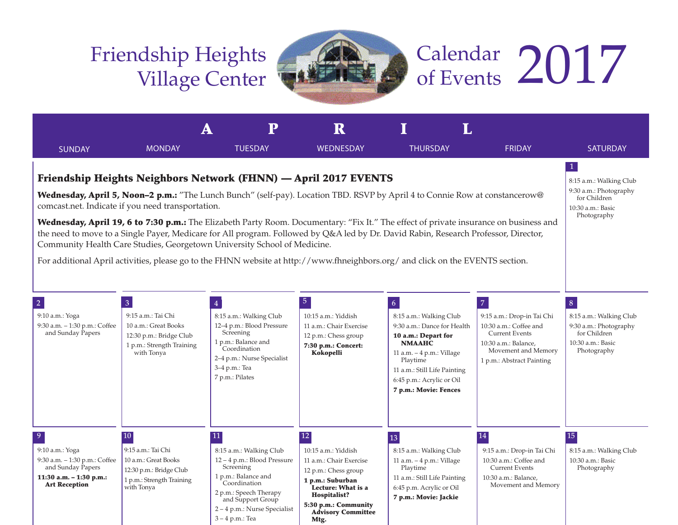## Friendship Heights Village Center

3 – 4 p.m.: Tea



# Calendar 2017

|                                                                                                                                                                                                                                                                                                                                                                                                                                                                                                                                                                                                                                                                                                                                                                                                                                             |                                                                                                                                    | $\mathbf P$                                                                                                                                                                                   | ${\bf R}$                                                                                                                                                                                                       |                                                                                                                                                                                                                                                  |                                                                                                                                                                             |                                                                                                                          |  |  |  |
|---------------------------------------------------------------------------------------------------------------------------------------------------------------------------------------------------------------------------------------------------------------------------------------------------------------------------------------------------------------------------------------------------------------------------------------------------------------------------------------------------------------------------------------------------------------------------------------------------------------------------------------------------------------------------------------------------------------------------------------------------------------------------------------------------------------------------------------------|------------------------------------------------------------------------------------------------------------------------------------|-----------------------------------------------------------------------------------------------------------------------------------------------------------------------------------------------|-----------------------------------------------------------------------------------------------------------------------------------------------------------------------------------------------------------------|--------------------------------------------------------------------------------------------------------------------------------------------------------------------------------------------------------------------------------------------------|-----------------------------------------------------------------------------------------------------------------------------------------------------------------------------|--------------------------------------------------------------------------------------------------------------------------|--|--|--|
| <b>SUNDAY</b>                                                                                                                                                                                                                                                                                                                                                                                                                                                                                                                                                                                                                                                                                                                                                                                                                               | <b>MONDAY</b>                                                                                                                      | <b>TUESDAY</b>                                                                                                                                                                                | <b>WEDNESDAY</b>                                                                                                                                                                                                | <b>THURSDAY</b>                                                                                                                                                                                                                                  | <b>FRIDAY</b>                                                                                                                                                               | <b>SATURDAY</b>                                                                                                          |  |  |  |
| $\mathbf{1}$<br>Friendship Heights Neighbors Network (FHNN) — April 2017 EVENTS<br>8:15 a.m.: Walking Club<br>9:30 a.m.: Photography<br>Wednesday, April 5, Noon-2 p.m.: "The Lunch Bunch" (self-pay). Location TBD. RSVP by April 4 to Connie Row at constancerow@<br>comcast.net. Indicate if you need transportation.<br>10:30 a.m.: Basic<br>Wednesday, April 19, 6 to 7:30 p.m.: The Elizabeth Party Room. Documentary: "Fix It." The effect of private insurance on business and<br>the need to move to a Single Payer, Medicare for All program. Followed by Q&A led by Dr. David Rabin, Research Professor, Director,<br>Community Health Care Studies, Georgetown University School of Medicine.<br>For additional April activities, please go to the FHNN website at http://www.fhneighbors.org/ and click on the EVENTS section. |                                                                                                                                    |                                                                                                                                                                                               |                                                                                                                                                                                                                 |                                                                                                                                                                                                                                                  |                                                                                                                                                                             |                                                                                                                          |  |  |  |
| $\overline{2}$<br>9:10 a.m.: Yoga<br>9:30 a.m. - 1:30 p.m.: Coffee<br>and Sunday Papers                                                                                                                                                                                                                                                                                                                                                                                                                                                                                                                                                                                                                                                                                                                                                     | $\overline{3}$<br>9:15 a.m.: Tai Chi<br>10 a.m.: Great Books<br>12:30 p.m.: Bridge Club<br>1 p.m.: Strength Training<br>with Tonya | $\overline{4}$<br>8:15 a.m.: Walking Club<br>12-4 p.m.: Blood Pressure<br>Screening<br>1 p.m.: Balance and<br>Coordination<br>2-4 p.m.: Nurse Specialist<br>3-4 p.m.: Tea<br>7 p.m.: Pilates  | 5 <sub>5</sub><br>10:15 a.m.: Yiddish<br>11 a.m.: Chair Exercise<br>12 p.m.: Chess group<br>7:30 p.m.: Concert:<br>Kokopelli                                                                                    | $\overline{6}$<br>8:15 a.m.: Walking Club<br>9:30 a.m.: Dance for Health<br>10 a.m.: Depart for<br><b>NMAAHC</b><br>11 a.m. $-4$ p.m.: Village<br>Playtime<br>11 a.m.: Still Life Painting<br>6:45 p.m.: Acrylic or Oil<br>7 p.m.: Movie: Fences | $\overline{7}$<br>9:15 a.m.: Drop-in Tai Chi<br>10:30 a.m.: Coffee and<br><b>Current Events</b><br>10:30 a.m.: Balance,<br>Movement and Memory<br>1 p.m.: Abstract Painting | $\vert 8 \vert$<br>8:15 a.m.: Walking Club<br>9:30 a.m.: Photography<br>for Children<br>10:30 a.m.: Basic<br>Photography |  |  |  |
| $\overline{9}$<br>9:10 a.m.: Yoga<br>9:30 a.m. - 1:30 p.m.: Coffee<br>and Sunday Papers<br>11:30 a.m. $-$ 1:30 p.m.:<br><b>Art Reception</b>                                                                                                                                                                                                                                                                                                                                                                                                                                                                                                                                                                                                                                                                                                | 10<br>9:15 a.m.: Tai Chi<br>10 a.m.: Great Books<br>12:30 p.m.: Bridge Club<br>1 p.m.: Strength Training<br>with Tonya             | 11<br>8:15 a.m.: Walking Club<br>12-4 p.m.: Blood Pressure<br>Screening<br>1 p.m.: Balance and<br>Coordination<br>2 p.m.: Speech Therapy<br>and Support Group<br>2 – 4 p.m.: Nurse Specialist | $\overline{12}$<br>10:15 a.m.: Yiddish<br>11 a.m.: Chair Exercise<br>12 p.m.: Chess group<br>1 p.m.: Suburban<br>Lecture: What is a<br><b>Hospitalist?</b><br>5:30 p.m.: Community<br><b>Advisory Committee</b> | 13<br>8:15 a.m.: Walking Club<br>11 a.m. - 4 p.m.: Village<br>Playtime<br>11 a.m.: Still Life Painting<br>6:45 p.m. Acrylic or Oil<br>7 p.m.: Movie: Jackie                                                                                      | 14<br>9:15 a.m.: Drop-in Tai Chi<br>10:30 a.m.: Coffee and<br><b>Current Events</b><br>10:30 a.m.: Balance,<br>Movement and Memory                                          | $\overline{15}$<br>8:15 a.m.: Walking Club<br>10:30 a.m.: Basic<br>Photography                                           |  |  |  |

Mtg.